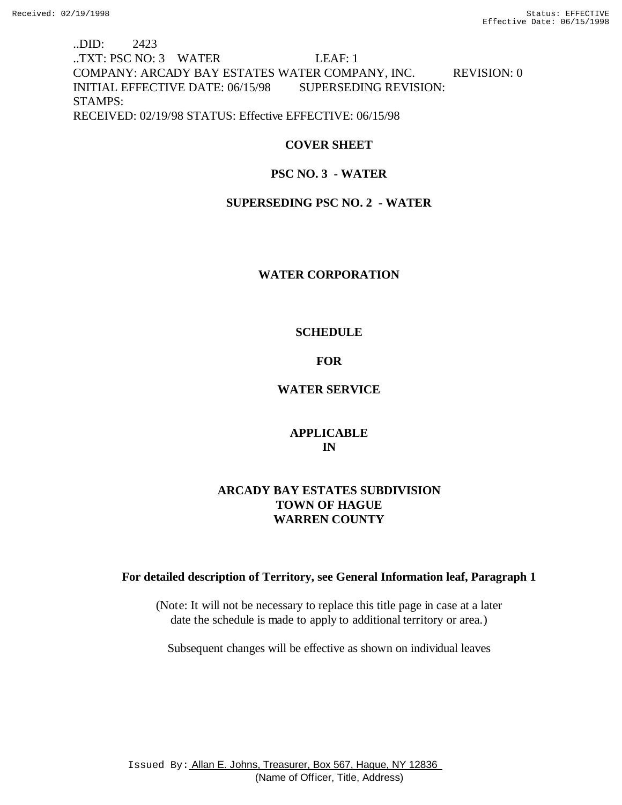# ..DID: 2423 ..TXT: PSC NO: 3 WATER LEAF: 1 COMPANY: ARCADY BAY ESTATES WATER COMPANY, INC. REVISION: 0 INITIAL EFFECTIVE DATE: 06/15/98 SUPERSEDING REVISION: STAMPS: RECEIVED: 02/19/98 STATUS: Effective EFFECTIVE: 06/15/98

### **COVER SHEET**

### **PSC NO. 3 - WATER**

### **SUPERSEDING PSC NO. 2 - WATER**

### **WATER CORPORATION**

### **SCHEDULE**

### **FOR**

### **WATER SERVICE**

# **APPLICABLE IN**

# **ARCADY BAY ESTATES SUBDIVISION TOWN OF HAGUE WARREN COUNTY**

# **For detailed description of Territory, see General Information leaf, Paragraph 1**

(Note: It will not be necessary to replace this title page in case at a later date the schedule is made to apply to additional territory or area.)

Subsequent changes will be effective as shown on individual leaves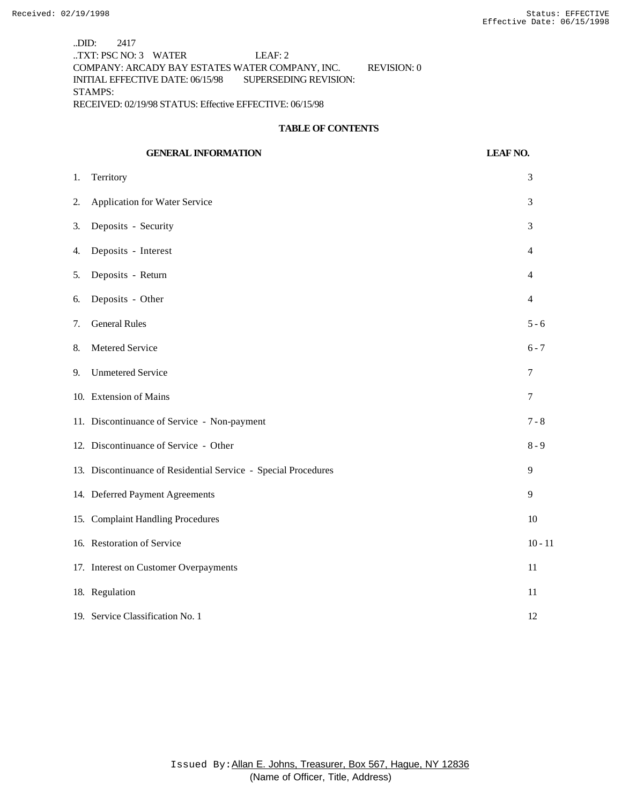..DID: 2417 ..TXT: PSC NO: 3 WATER LEAF: 2 COMPANY: ARCADY BAY ESTATES WATER COMPANY, INC. REVISION: 0 INITIAL EFFECTIVE DATE: 06/15/98 SUPERSEDING REVISION: STAMPS: RECEIVED: 02/19/98 STATUS: Effective EFFECTIVE: 06/15/98

#### **TABLE OF CONTENTS**

# **GENERAL INFORMATION LEAF NO.** 1. Territory 3 2. Application for Water Service 3 3. Deposits - Security 3 4. Deposits - Interest 4 5. Deposits - Return 4 6. Deposits - Other 4 7. General Rules 5 - 6 8. Metered Service 6 - 7 9. Unmetered Service 7 10. Extension of Mains 7 11. Discontinuance of Service - Non-payment 7 - 8 12. Discontinuance of Service - Other 8 - 9 13. Discontinuance of Residential Service - Special Procedures 9 14. Deferred Payment Agreements 9 15. Complaint Handling Procedures 10 16. Restoration of Service 10 - 11 17. Interest on Customer Overpayments 11 18. Regulation 11 19. Service Classification No. 1 12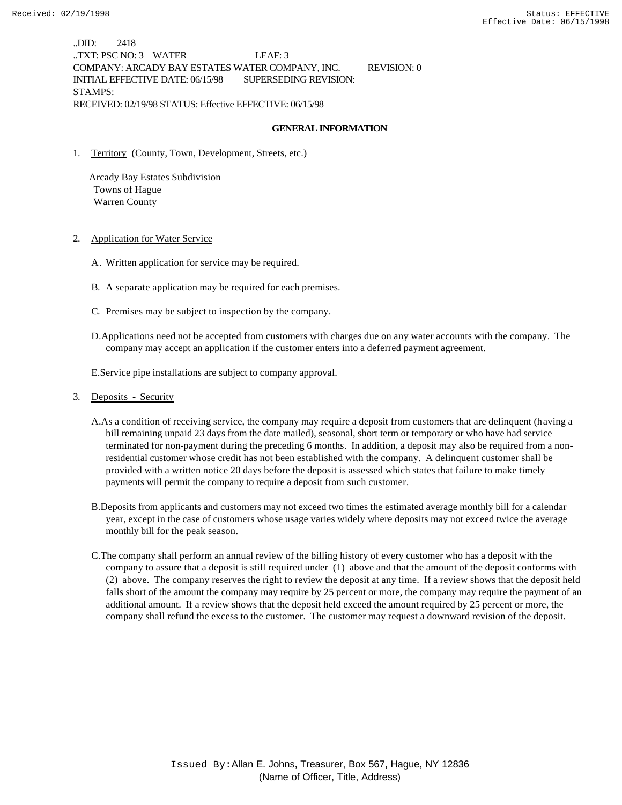..DID: 2418 ..TXT: PSC NO: 3 WATER LEAF: 3 COMPANY: ARCADY BAY ESTATES WATER COMPANY, INC. REVISION: 0 INITIAL EFFECTIVE DATE: 06/15/98 SUPERSEDING REVISION: STAMPS: RECEIVED: 02/19/98 STATUS: Effective EFFECTIVE: 06/15/98

#### **GENERAL INFORMATION**

1. Territory (County, Town, Development, Streets, etc.)

 Arcady Bay Estates Subdivision Towns of Hague Warren County

#### 2. Application for Water Service

- A. Written application for service may be required.
- B. A separate application may be required for each premises.
- C. Premises may be subject to inspection by the company.
- D.Applications need not be accepted from customers with charges due on any water accounts with the company. The company may accept an application if the customer enters into a deferred payment agreement.

E.Service pipe installations are subject to company approval.

#### 3. Deposits - Security

- A.As a condition of receiving service, the company may require a deposit from customers that are delinquent (having a bill remaining unpaid 23 days from the date mailed), seasonal, short term or temporary or who have had service terminated for non-payment during the preceding 6 months. In addition, a deposit may also be required from a nonresidential customer whose credit has not been established with the company. A delinquent customer shall be provided with a written notice 20 days before the deposit is assessed which states that failure to make timely payments will permit the company to require a deposit from such customer.
- B.Deposits from applicants and customers may not exceed two times the estimated average monthly bill for a calendar year, except in the case of customers whose usage varies widely where deposits may not exceed twice the average monthly bill for the peak season.
- C.The company shall perform an annual review of the billing history of every customer who has a deposit with the company to assure that a deposit is still required under (1) above and that the amount of the deposit conforms with (2) above. The company reserves the right to review the deposit at any time. If a review shows that the deposit held falls short of the amount the company may require by 25 percent or more, the company may require the payment of an additional amount. If a review shows that the deposit held exceed the amount required by 25 percent or more, the company shall refund the excess to the customer. The customer may request a downward revision of the deposit.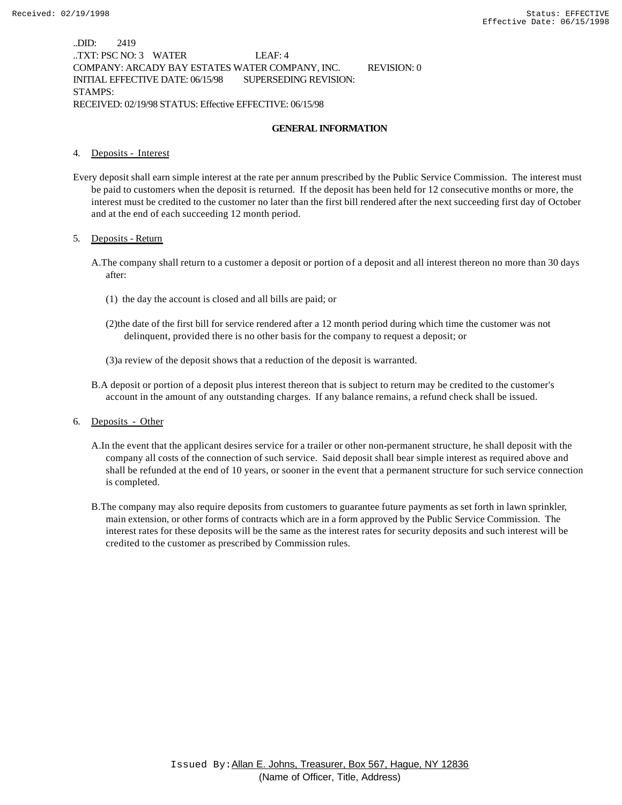..DID: 2419 ..TXT: PSC NO: 3 WATER LEAF: 4 COMPANY: ARCADY BAY ESTATES WATER COMPANY, INC. REVISION: 0 INITIAL EFFECTIVE DATE: 06/15/98 SUPERSEDING REVISION: STAMPS: RECEIVED: 02/19/98 STATUS: Effective EFFECTIVE: 06/15/98

#### **GENERAL INFORMATION**

#### 4. Deposits - Interest

Every deposit shall earn simple interest at the rate per annum prescribed by the Public Service Commission. The interest must be paid to customers when the deposit is returned. If the deposit has been held for 12 consecutive months or more, the interest must be credited to the customer no later than the first bill rendered after the next succeeding first day of October and at the end of each succeeding 12 month period.

#### 5. Deposits - Return

- A.The company shall return to a customer a deposit or portion of a deposit and all interest thereon no more than 30 days after:
	- (1) the day the account is closed and all bills are paid; or
	- (2)the date of the first bill for service rendered after a 12 month period during which time the customer was not delinquent, provided there is no other basis for the company to request a deposit; or
	- (3)a review of the deposit shows that a reduction of the deposit is warranted.
- B.A deposit or portion of a deposit plus interest thereon that is subject to return may be credited to the customer's account in the amount of any outstanding charges. If any balance remains, a refund check shall be issued.
- 6. Deposits Other
	- A.In the event that the applicant desires service for a trailer or other non-permanent structure, he shall deposit with the company all costs of the connection of such service. Said deposit shall bear simple interest as required above and shall be refunded at the end of 10 years, or sooner in the event that a permanent structure for such service connection is completed.
	- B.The company may also require deposits from customers to guarantee future payments as set forth in lawn sprinkler, main extension, or other forms of contracts which are in a form approved by the Public Service Commission. The interest rates for these deposits will be the same as the interest rates for security deposits and such interest will be credited to the customer as prescribed by Commission rules.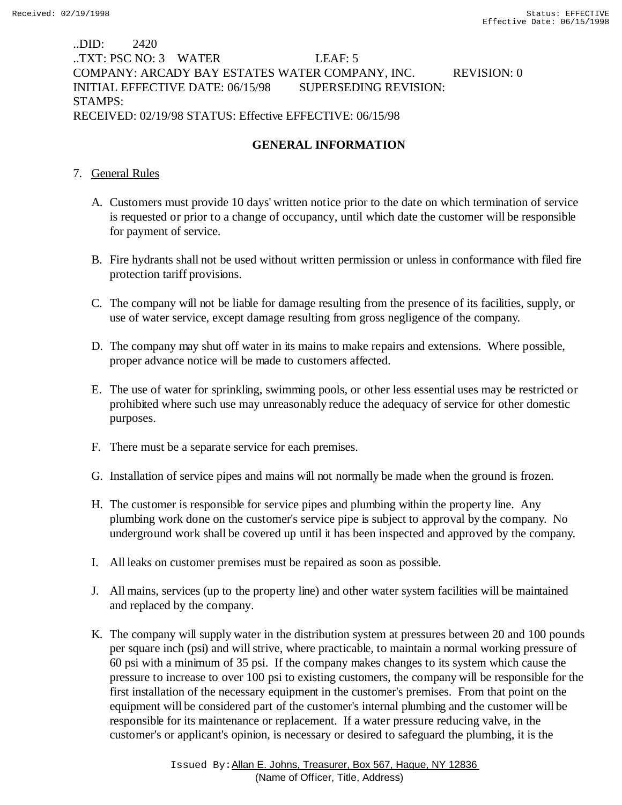# ..DID: 2420 ..TXT: PSC NO: 3 WATER LEAF: 5 COMPANY: ARCADY BAY ESTATES WATER COMPANY, INC. REVISION: 0 INITIAL EFFECTIVE DATE: 06/15/98 SUPERSEDING REVISION: STAMPS: RECEIVED: 02/19/98 STATUS: Effective EFFECTIVE: 06/15/98

# **GENERAL INFORMATION**

# 7. General Rules

- A. Customers must provide 10 days' written notice prior to the date on which termination of service is requested or prior to a change of occupancy, until which date the customer will be responsible for payment of service.
- B. Fire hydrants shall not be used without written permission or unless in conformance with filed fire protection tariff provisions.
- C. The company will not be liable for damage resulting from the presence of its facilities, supply, or use of water service, except damage resulting from gross negligence of the company.
- D. The company may shut off water in its mains to make repairs and extensions. Where possible, proper advance notice will be made to customers affected.
- E. The use of water for sprinkling, swimming pools, or other less essential uses may be restricted or prohibited where such use may unreasonably reduce the adequacy of service for other domestic purposes.
- F. There must be a separate service for each premises.
- G. Installation of service pipes and mains will not normally be made when the ground is frozen.
- H. The customer is responsible for service pipes and plumbing within the property line. Any plumbing work done on the customer's service pipe is subject to approval by the company. No underground work shall be covered up until it has been inspected and approved by the company.
- I. All leaks on customer premises must be repaired as soon as possible.
- J. All mains, services (up to the property line) and other water system facilities will be maintained and replaced by the company.
- K. The company will supply water in the distribution system at pressures between 20 and 100 pounds per square inch (psi) and will strive, where practicable, to maintain a normal working pressure of 60 psi with a minimum of 35 psi. If the company makes changes to its system which cause the pressure to increase to over 100 psi to existing customers, the company will be responsible for the first installation of the necessary equipment in the customer's premises. From that point on the equipment will be considered part of the customer's internal plumbing and the customer will be responsible for its maintenance or replacement. If a water pressure reducing valve, in the customer's or applicant's opinion, is necessary or desired to safeguard the plumbing, it is the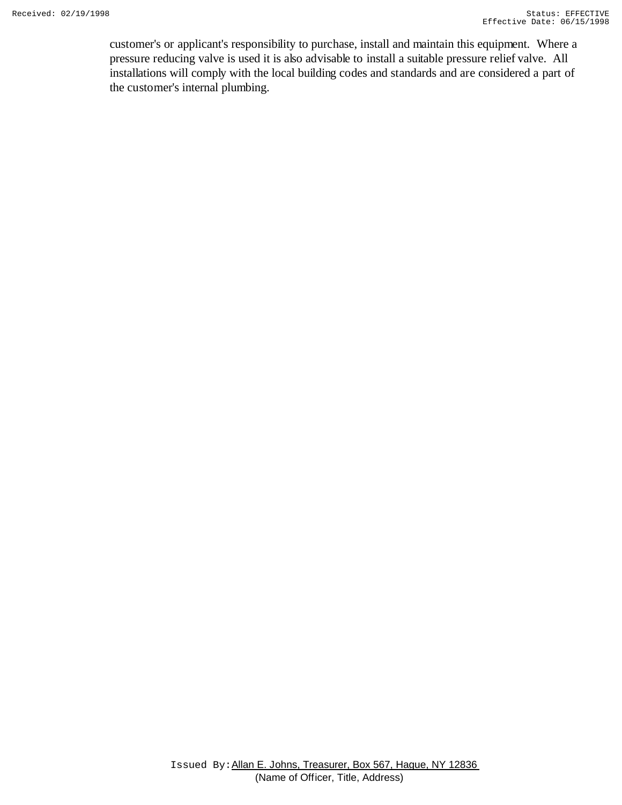customer's or applicant's responsibility to purchase, install and maintain this equipment. Where a pressure reducing valve is used it is also advisable to install a suitable pressure relief valve. All installations will comply with the local building codes and standards and are considered a part of the customer's internal plumbing.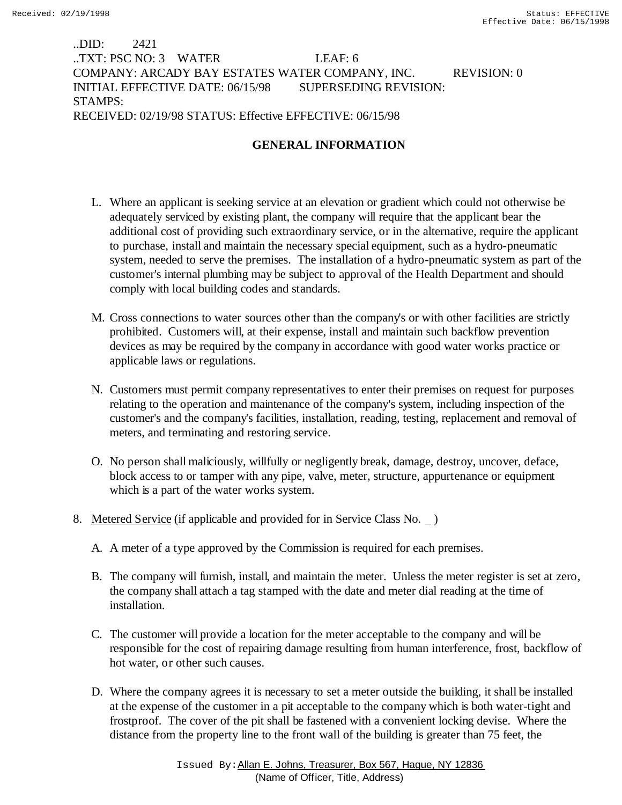# ..DID: 2421 ..TXT: PSC NO: 3 WATER LEAF: 6 COMPANY: ARCADY BAY ESTATES WATER COMPANY, INC. REVISION: 0 INITIAL EFFECTIVE DATE: 06/15/98 SUPERSEDING REVISION: STAMPS: RECEIVED: 02/19/98 STATUS: Effective EFFECTIVE: 06/15/98

# **GENERAL INFORMATION**

- L. Where an applicant is seeking service at an elevation or gradient which could not otherwise be adequately serviced by existing plant, the company will require that the applicant bear the additional cost of providing such extraordinary service, or in the alternative, require the applicant to purchase, install and maintain the necessary special equipment, such as a hydro-pneumatic system, needed to serve the premises. The installation of a hydro-pneumatic system as part of the customer's internal plumbing may be subject to approval of the Health Department and should comply with local building codes and standards.
- M. Cross connections to water sources other than the company's or with other facilities are strictly prohibited. Customers will, at their expense, install and maintain such backflow prevention devices as may be required by the company in accordance with good water works practice or applicable laws or regulations.
- N. Customers must permit company representatives to enter their premises on request for purposes relating to the operation and maintenance of the company's system, including inspection of the customer's and the company's facilities, installation, reading, testing, replacement and removal of meters, and terminating and restoring service.
- O. No person shall maliciously, willfully or negligently break, damage, destroy, uncover, deface, block access to or tamper with any pipe, valve, meter, structure, appurtenance or equipment which is a part of the water works system.
- 8. Metered Service (if applicable and provided for in Service Class No.  $\overline{\phantom{a}}$ )
	- A. A meter of a type approved by the Commission is required for each premises.
	- B. The company will furnish, install, and maintain the meter. Unless the meter register is set at zero, the company shall attach a tag stamped with the date and meter dial reading at the time of installation.
	- C. The customer will provide a location for the meter acceptable to the company and will be responsible for the cost of repairing damage resulting from human interference, frost, backflow of hot water, or other such causes.
	- D. Where the company agrees it is necessary to set a meter outside the building, it shall be installed at the expense of the customer in a pit acceptable to the company which is both water-tight and frostproof. The cover of the pit shall be fastened with a convenient locking devise. Where the distance from the property line to the front wall of the building is greater than 75 feet, the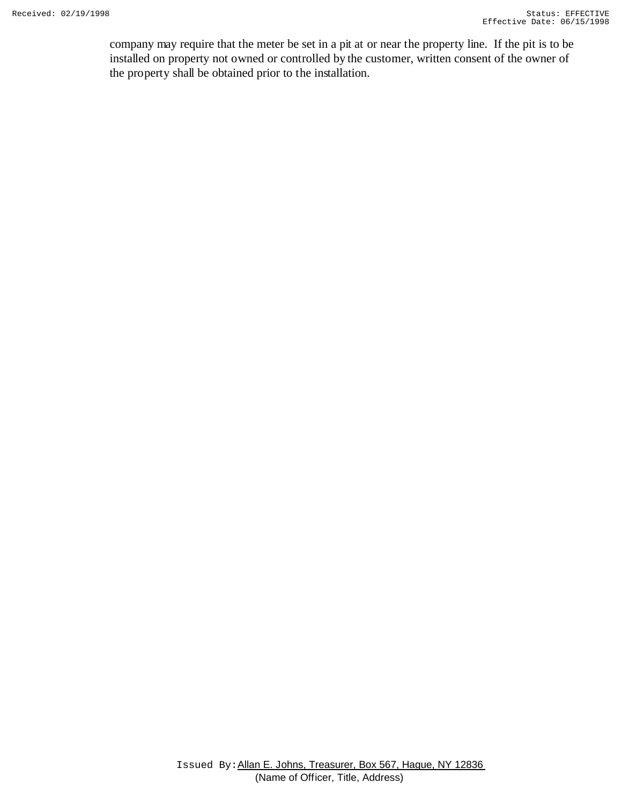company may require that the meter be set in a pit at or near the property line. If the pit is to be installed on property not owned or controlled by the customer, written consent of the owner of the property shall be obtained prior to the installation.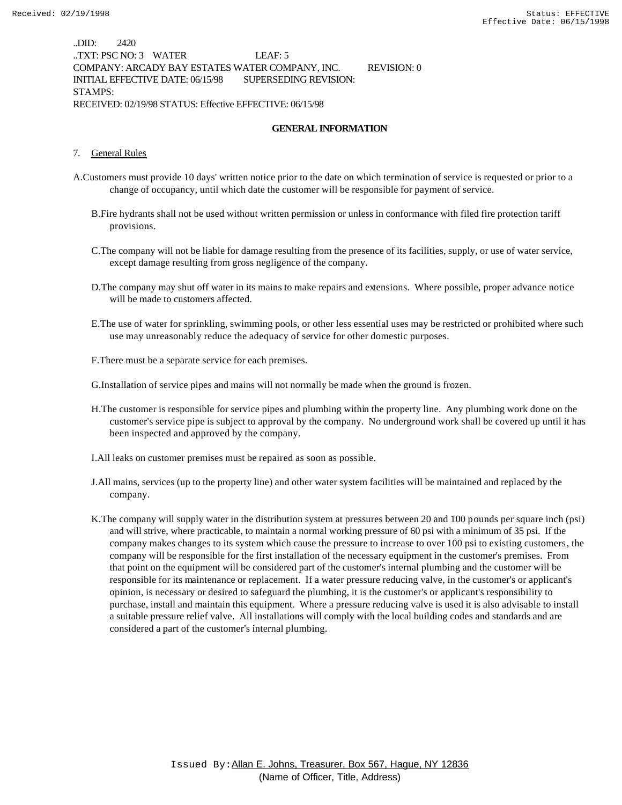..DID: 2420 ..TXT: PSC NO: 3 WATER LEAF: 5 COMPANY: ARCADY BAY ESTATES WATER COMPANY, INC. REVISION: 0 INITIAL EFFECTIVE DATE: 06/15/98 SUPERSEDING REVISION: STAMPS: RECEIVED: 02/19/98 STATUS: Effective EFFECTIVE: 06/15/98

#### **GENERAL INFORMATION**

#### 7. General Rules

- A.Customers must provide 10 days' written notice prior to the date on which termination of service is requested or prior to a change of occupancy, until which date the customer will be responsible for payment of service.
	- B.Fire hydrants shall not be used without written permission or unless in conformance with filed fire protection tariff provisions.
	- C.The company will not be liable for damage resulting from the presence of its facilities, supply, or use of water service, except damage resulting from gross negligence of the company.
	- D.The company may shut off water in its mains to make repairs and extensions. Where possible, proper advance notice will be made to customers affected.
	- E.The use of water for sprinkling, swimming pools, or other less essential uses may be restricted or prohibited where such use may unreasonably reduce the adequacy of service for other domestic purposes.
	- F.There must be a separate service for each premises.

G.Installation of service pipes and mains will not normally be made when the ground is frozen.

- H.The customer is responsible for service pipes and plumbing within the property line. Any plumbing work done on the customer's service pipe is subject to approval by the company. No underground work shall be covered up until it has been inspected and approved by the company.
- I.All leaks on customer premises must be repaired as soon as possible.
- J.All mains, services (up to the property line) and other water system facilities will be maintained and replaced by the company.
- K.The company will supply water in the distribution system at pressures between 20 and 100 pounds per square inch (psi) and will strive, where practicable, to maintain a normal working pressure of 60 psi with a minimum of 35 psi. If the company makes changes to its system which cause the pressure to increase to over 100 psi to existing customers, the company will be responsible for the first installation of the necessary equipment in the customer's premises. From that point on the equipment will be considered part of the customer's internal plumbing and the customer will be responsible for its maintenance or replacement. If a water pressure reducing valve, in the customer's or applicant's opinion, is necessary or desired to safeguard the plumbing, it is the customer's or applicant's responsibility to purchase, install and maintain this equipment. Where a pressure reducing valve is used it is also advisable to install a suitable pressure relief valve. All installations will comply with the local building codes and standards and are considered a part of the customer's internal plumbing.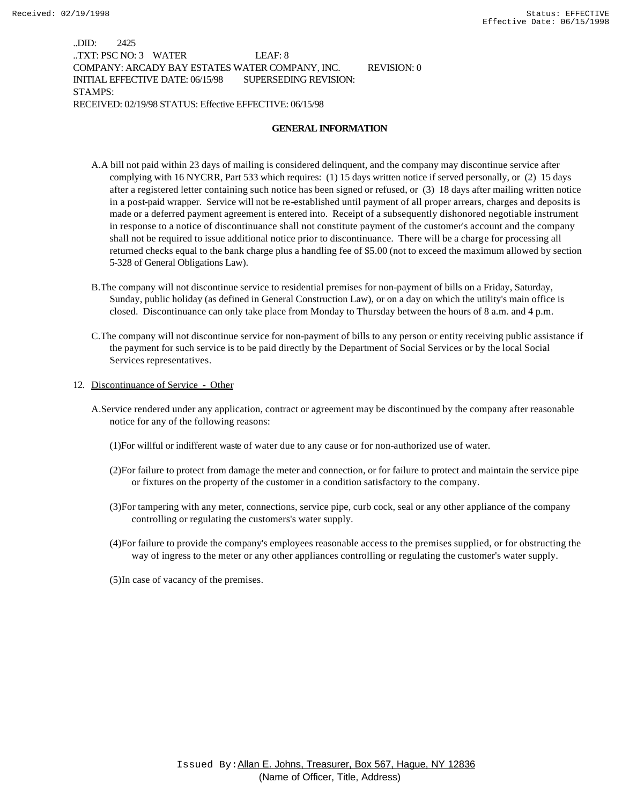..DID: 2425 ..TXT: PSC NO: 3 WATER LEAF: 8 COMPANY: ARCADY BAY ESTATES WATER COMPANY, INC. REVISION: 0 INITIAL EFFECTIVE DATE: 06/15/98 SUPERSEDING REVISION: STAMPS: RECEIVED: 02/19/98 STATUS: Effective EFFECTIVE: 06/15/98

#### **GENERAL INFORMATION**

- A.A bill not paid within 23 days of mailing is considered delinquent, and the company may discontinue service after complying with 16 NYCRR, Part 533 which requires: (1) 15 days written notice if served personally, or (2) 15 days after a registered letter containing such notice has been signed or refused, or (3) 18 days after mailing written notice in a post-paid wrapper. Service will not be re-established until payment of all proper arrears, charges and deposits is made or a deferred payment agreement is entered into. Receipt of a subsequently dishonored negotiable instrument in response to a notice of discontinuance shall not constitute payment of the customer's account and the company shall not be required to issue additional notice prior to discontinuance. There will be a charge for processing all returned checks equal to the bank charge plus a handling fee of \$5.00 (not to exceed the maximum allowed by section 5-328 of General Obligations Law).
- B.The company will not discontinue service to residential premises for non-payment of bills on a Friday, Saturday, Sunday, public holiday (as defined in General Construction Law), or on a day on which the utility's main office is closed. Discontinuance can only take place from Monday to Thursday between the hours of 8 a.m. and 4 p.m.
- C.The company will not discontinue service for non-payment of bills to any person or entity receiving public assistance if the payment for such service is to be paid directly by the Department of Social Services or by the local Social Services representatives.
- 12. Discontinuance of Service Other
	- A.Service rendered under any application, contract or agreement may be discontinued by the company after reasonable notice for any of the following reasons:
		- (1)For willful or indifferent waste of water due to any cause or for non-authorized use of water.
		- (2)For failure to protect from damage the meter and connection, or for failure to protect and maintain the service pipe or fixtures on the property of the customer in a condition satisfactory to the company.
		- (3)For tampering with any meter, connections, service pipe, curb cock, seal or any other appliance of the company controlling or regulating the customers's water supply.
		- (4)For failure to provide the company's employees reasonable access to the premises supplied, or for obstructing the way of ingress to the meter or any other appliances controlling or regulating the customer's water supply.
		- (5)In case of vacancy of the premises.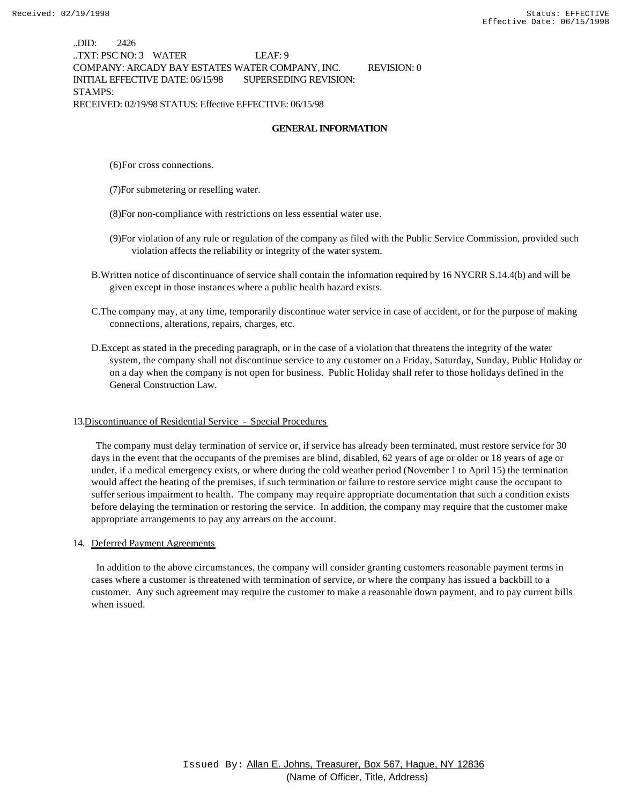..DID: 2426 ..TXT: PSC NO: 3 WATER LEAF: 9 COMPANY: ARCADY BAY ESTATES WATER COMPANY, INC. REVISION: 0 INITIAL EFFECTIVE DATE: 06/15/98 SUPERSEDING REVISION: STAMPS: RECEIVED: 02/19/98 STATUS: Effective EFFECTIVE: 06/15/98

#### **GENERAL INFORMATION**

(6)For cross connections.

(7)For submetering or reselling water.

(8)For non-compliance with restrictions on less essential water use.

- (9)For violation of any rule or regulation of the company as filed with the Public Service Commission, provided such violation affects the reliability or integrity of the water system.
- B.Written notice of discontinuance of service shall contain the information required by 16 NYCRR S.14.4(b) and will be given except in those instances where a public health hazard exists.
- C.The company may, at any time, temporarily discontinue water service in case of accident, or for the purpose of making connections, alterations, repairs, charges, etc.
- D.Except as stated in the preceding paragraph, or in the case of a violation that threatens the integrity of the water system, the company shall not discontinue service to any customer on a Friday, Saturday, Sunday, Public Holiday or on a day when the company is not open for business. Public Holiday shall refer to those holidays defined in the General Construction Law.

#### 13.Discontinuance of Residential Service - Special Procedures

 The company must delay termination of service or, if service has already been terminated, must restore service for 30 days in the event that the occupants of the premises are blind, disabled, 62 years of age or older or 18 years of age or under, if a medical emergency exists, or where during the cold weather period (November 1 to April 15) the termination would affect the heating of the premises, if such termination or failure to restore service might cause the occupant to suffer serious impairment to health. The company may require appropriate documentation that such a condition exists before delaying the termination or restoring the service. In addition, the company may require that the customer make appropriate arrangements to pay any arrears on the account.

#### 14. Deferred Payment Agreements

 In addition to the above circumstances, the company will consider granting customers reasonable payment terms in cases where a customer is threatened with termination of service, or where the company has issued a backbill to a customer. Any such agreement may require the customer to make a reasonable down payment, and to pay current bills when issued.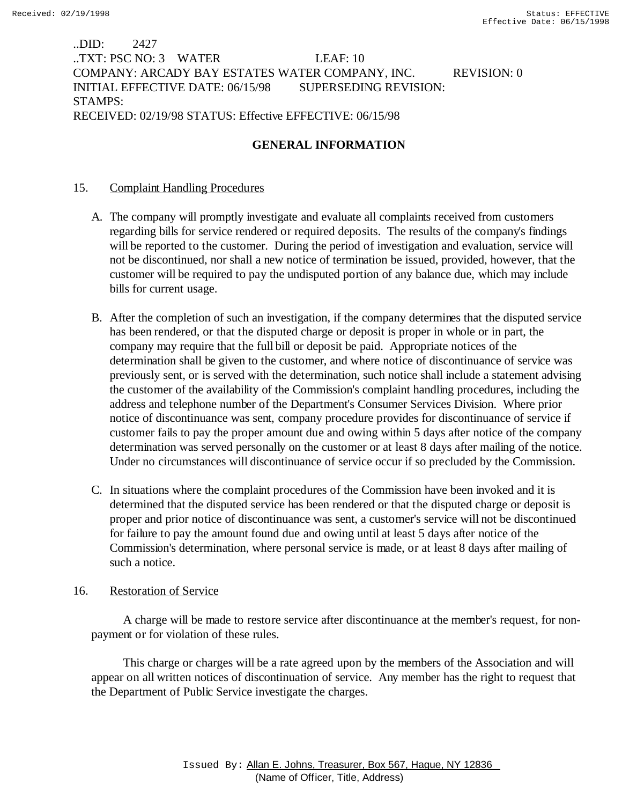# ..DID: 2427 ..TXT: PSC NO: 3 WATER LEAF: 10 COMPANY: ARCADY BAY ESTATES WATER COMPANY, INC. REVISION: 0 INITIAL EFFECTIVE DATE: 06/15/98 SUPERSEDING REVISION: STAMPS: RECEIVED: 02/19/98 STATUS: Effective EFFECTIVE: 06/15/98

# **GENERAL INFORMATION**

# 15. Complaint Handling Procedures

- A. The company will promptly investigate and evaluate all complaints received from customers regarding bills for service rendered or required deposits. The results of the company's findings will be reported to the customer. During the period of investigation and evaluation, service will not be discontinued, nor shall a new notice of termination be issued, provided, however, that the customer will be required to pay the undisputed portion of any balance due, which may include bills for current usage.
- B. After the completion of such an investigation, if the company determines that the disputed service has been rendered, or that the disputed charge or deposit is proper in whole or in part, the company may require that the full bill or deposit be paid. Appropriate notices of the determination shall be given to the customer, and where notice of discontinuance of service was previously sent, or is served with the determination, such notice shall include a statement advising the customer of the availability of the Commission's complaint handling procedures, including the address and telephone number of the Department's Consumer Services Division. Where prior notice of discontinuance was sent, company procedure provides for discontinuance of service if customer fails to pay the proper amount due and owing within 5 days after notice of the company determination was served personally on the customer or at least 8 days after mailing of the notice. Under no circumstances will discontinuance of service occur if so precluded by the Commission.
- C. In situations where the complaint procedures of the Commission have been invoked and it is determined that the disputed service has been rendered or that the disputed charge or deposit is proper and prior notice of discontinuance was sent, a customer's service will not be discontinued for failure to pay the amount found due and owing until at least 5 days after notice of the Commission's determination, where personal service is made, or at least 8 days after mailing of such a notice.

# 16. Restoration of Service

 A charge will be made to restore service after discontinuance at the member's request, for nonpayment or for violation of these rules.

 This charge or charges will be a rate agreed upon by the members of the Association and will appear on all written notices of discontinuation of service. Any member has the right to request that the Department of Public Service investigate the charges.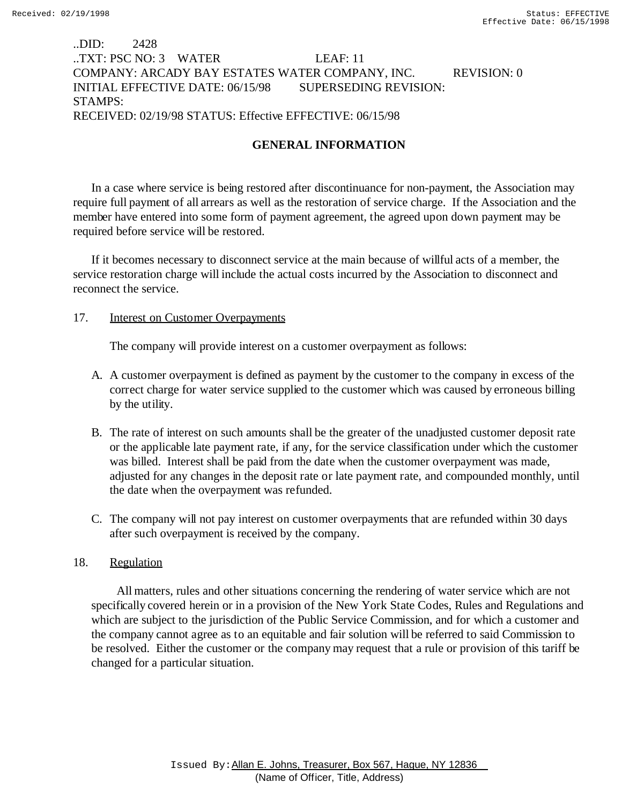# ..DID: 2428 ..TXT: PSC NO: 3 WATER LEAF: 11 COMPANY: ARCADY BAY ESTATES WATER COMPANY, INC. REVISION: 0 INITIAL EFFECTIVE DATE: 06/15/98 SUPERSEDING REVISION: STAMPS: RECEIVED: 02/19/98 STATUS: Effective EFFECTIVE: 06/15/98

# **GENERAL INFORMATION**

In a case where service is being restored after discontinuance for non-payment, the Association may require full payment of all arrears as well as the restoration of service charge. If the Association and the member have entered into some form of payment agreement, the agreed upon down payment may be required before service will be restored.

If it becomes necessary to disconnect service at the main because of willful acts of a member, the service restoration charge will include the actual costs incurred by the Association to disconnect and reconnect the service.

### 17. **Interest on Customer Overpayments**

The company will provide interest on a customer overpayment as follows:

- A. A customer overpayment is defined as payment by the customer to the company in excess of the correct charge for water service supplied to the customer which was caused by erroneous billing by the utility.
- B. The rate of interest on such amounts shall be the greater of the unadjusted customer deposit rate or the applicable late payment rate, if any, for the service classification under which the customer was billed. Interest shall be paid from the date when the customer overpayment was made, adjusted for any changes in the deposit rate or late payment rate, and compounded monthly, until the date when the overpayment was refunded.
- C. The company will not pay interest on customer overpayments that are refunded within 30 days after such overpayment is received by the company.

### 18. Regulation

 All matters, rules and other situations concerning the rendering of water service which are not specifically covered herein or in a provision of the New York State Codes, Rules and Regulations and which are subject to the jurisdiction of the Public Service Commission, and for which a customer and the company cannot agree as to an equitable and fair solution will be referred to said Commission to be resolved. Either the customer or the company may request that a rule or provision of this tariff be changed for a particular situation.